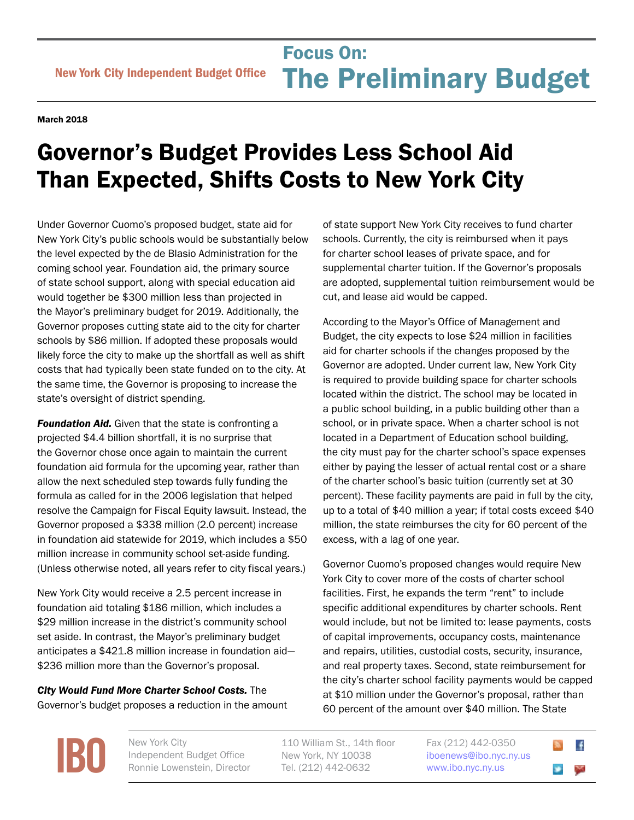## Focus On:<br>
New York City Independent Budget Office **The Preliminary Bu** Focus On: The Preliminary Budget

March 2018

## Governor's Budget Provides Less School Aid Than Expected, Shifts Costs to New York City

Under Governor Cuomo's proposed budget, state aid for New York City's public schools would be substantially below the level expected by the de Blasio Administration for the coming school year. Foundation aid, the primary source of state school support, along with special education aid would together be \$300 million less than projected in the Mayor's preliminary budget for 2019. Additionally, the Governor proposes cutting state aid to the city for charter schools by \$86 million. If adopted these proposals would likely force the city to make up the shortfall as well as shift costs that had typically been state funded on to the city. At the same time, the Governor is proposing to increase the state's oversight of district spending.

**Foundation Aid.** Given that the state is confronting a projected \$4.4 billion shortfall, it is no surprise that the Governor chose once again to maintain the current foundation aid formula for the upcoming year, rather than allow the next scheduled step towards fully funding the formula as called for in the 2006 legislation that helped resolve the Campaign for Fiscal Equity lawsuit. Instead, the Governor proposed a \$338 million (2.0 percent) increase in foundation aid statewide for 2019, which includes a \$50 million increase in community school set-aside funding. (Unless otherwise noted, all years refer to city fiscal years.)

New York City would receive a 2.5 percent increase in foundation aid totaling \$186 million, which includes a \$29 million increase in the district's community school set aside. In contrast, the Mayor's preliminary budget anticipates a \$421.8 million increase in foundation aid— \$236 million more than the Governor's proposal.

*City Would Fund More Charter School Costs.* The Governor's budget proposes a reduction in the amount

of state support New York City receives to fund charter schools. Currently, the city is reimbursed when it pays for charter school leases of private space, and for supplemental charter tuition. If the Governor's proposals are adopted, supplemental tuition reimbursement would be cut, and lease aid would be capped.

According to the Mayor's Office of Management and Budget, the city expects to lose \$24 million in facilities aid for charter schools if the changes proposed by the Governor are adopted. Under current law, New York City is required to provide building space for charter schools located within the district. The school may be located in a public school building, in a public building other than a school, or in private space. When a charter school is not located in a Department of Education school building, the city must pay for the charter school's space expenses either by paying the lesser of actual rental cost or a share of the charter school's basic tuition (currently set at 30 percent). These facility payments are paid in full by the city, up to a total of \$40 million a year; if total costs exceed \$40 million, the state reimburses the city for 60 percent of the excess, with a lag of one year.

Governor Cuomo's proposed changes would require New York City to cover more of the costs of charter school facilities. First, he expands the term "rent" to include specific additional expenditures by charter schools. Rent would include, but not be limited to: lease payments, costs of capital improvements, occupancy costs, maintenance and repairs, utilities, custodial costs, security, insurance, and real property taxes. Second, state reimbursement for the city's charter school facility payments would be capped at \$10 million under the Governor's proposal, rather than 60 percent of the amount over \$40 million. The State

**[IBO](http://www.ibo.nyc.ny.us)** New York City<br>
Independent<br>
Ronnie Lower

Independent Budget Office Ronnie Lowenstein, Director 110 William St., 14th floor New York, NY 10038 Tel. (212) 442-0632

Fax (212) 442-0350 [iboenews@ibo.nyc.ny.us](mailto:iboenews%40ibo.nyc.ny.us?subject=)  <www.ibo.nyc.ny.us>

 $\cdot$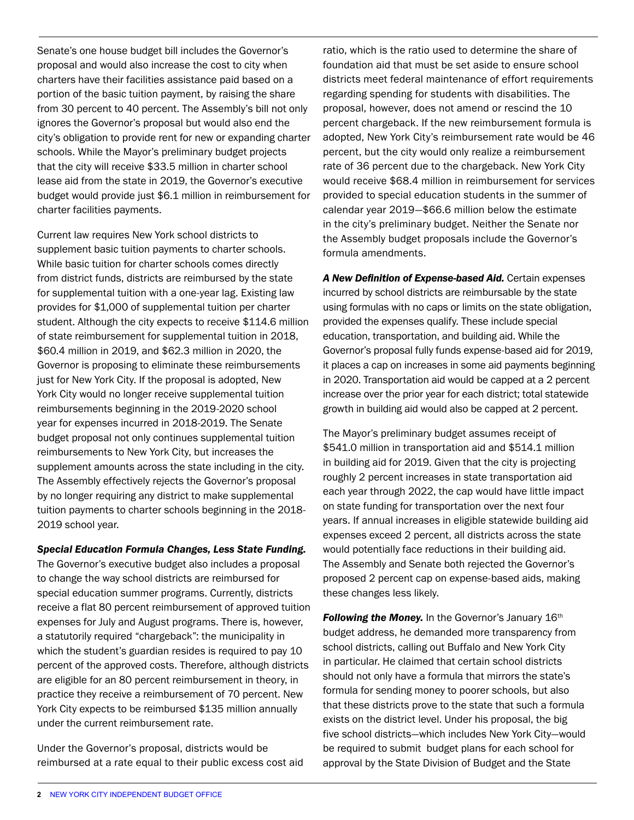Senate's one house budget bill includes the Governor's proposal and would also increase the cost to city when charters have their facilities assistance paid based on a portion of the basic tuition payment, by raising the share from 30 percent to 40 percent. The Assembly's bill not only ignores the Governor's proposal but would also end the city's obligation to provide rent for new or expanding charter schools. While the Mayor's preliminary budget projects that the city will receive \$33.5 million in charter school lease aid from the state in 2019, the Governor's executive budget would provide just \$6.1 million in reimbursement for charter facilities payments.

Current law requires New York school districts to supplement basic tuition payments to charter schools. While basic tuition for charter schools comes directly from district funds, districts are reimbursed by the state for supplemental tuition with a one-year lag. Existing law provides for \$1,000 of supplemental tuition per charter student. Although the city expects to receive \$114.6 million of state reimbursement for supplemental tuition in 2018, \$60.4 million in 2019, and \$62.3 million in 2020, the Governor is proposing to eliminate these reimbursements just for New York City. If the proposal is adopted, New York City would no longer receive supplemental tuition reimbursements beginning in the 2019-2020 school year for expenses incurred in 2018-2019. The Senate budget proposal not only continues supplemental tuition reimbursements to New York City, but increases the supplement amounts across the state including in the city. The Assembly effectively rejects the Governor's proposal by no longer requiring any district to make supplemental tuition payments to charter schools beginning in the 2018- 2019 school year.

## *Special Education Formula Changes, Less State Funding.*

The Governor's executive budget also includes a proposal to change the way school districts are reimbursed for special education summer programs. Currently, districts receive a flat 80 percent reimbursement of approved tuition expenses for July and August programs. There is, however, a statutorily required "chargeback": the municipality in which the student's guardian resides is required to pay 10 percent of the approved costs. Therefore, although districts are eligible for an 80 percent reimbursement in theory, in practice they receive a reimbursement of 70 percent. New York City expects to be reimbursed \$135 million annually under the current reimbursement rate.

Under the Governor's proposal, districts would be reimbursed at a rate equal to their public excess cost aid

ratio, which is the ratio used to determine the share of foundation aid that must be set aside to ensure school districts meet federal maintenance of effort requirements regarding spending for students with disabilities. The proposal, however, does not amend or rescind the 10 percent chargeback. If the new reimbursement formula is adopted, New York City's reimbursement rate would be 46 percent, but the city would only realize a reimbursement rate of 36 percent due to the chargeback. New York City would receive \$68.4 million in reimbursement for services provided to special education students in the summer of calendar year 2019—\$66.6 million below the estimate in the city's preliminary budget. Neither the Senate nor the Assembly budget proposals include the Governor's formula amendments.

*A New Definition of Expense-based Aid.* Certain expenses incurred by school districts are reimbursable by the state using formulas with no caps or limits on the state obligation, provided the expenses qualify. These include special education, transportation, and building aid. While the Governor's proposal fully funds expense-based aid for 2019, it places a cap on increases in some aid payments beginning in 2020. Transportation aid would be capped at a 2 percent increase over the prior year for each district; total statewide growth in building aid would also be capped at 2 percent.

The Mayor's preliminary budget assumes receipt of \$541.0 million in transportation aid and \$514.1 million in building aid for 2019. Given that the city is projecting roughly 2 percent increases in state transportation aid each year through 2022, the cap would have little impact on state funding for transportation over the next four years. If annual increases in eligible statewide building aid expenses exceed 2 percent, all districts across the state would potentially face reductions in their building aid. The Assembly and Senate both rejected the Governor's proposed 2 percent cap on expense-based aids, making these changes less likely.

**Following the Money.** In the Governor's January 16th budget address, he demanded more transparency from school districts, calling out Buffalo and New York City in particular. He claimed that certain school districts should not only have a formula that mirrors the state's formula for sending money to poorer schools, but also that these districts prove to the state that such a formula exists on the district level. Under his proposal, the big five school districts—which includes New York City—would be required to submit budget plans for each school for approval by the State Division of Budget and the State